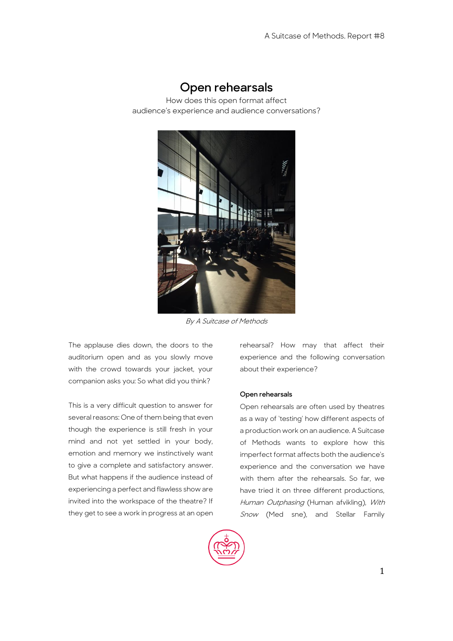# **Open rehearsals**

How does this open format affect audience's experience and audience conversations?



By A Suitcase of Methods

The applause dies down, the doors to the auditorium open and as you slowly move with the crowd towards your jacket, your companion asks you: So what did you think?

This is a very difficult question to answer for several reasons: One of them being that even though the experience is still fresh in your mind and not yet settled in your body, emotion and memory we instinctively want to give a complete and satisfactory answer. But what happens if the audience instead of experiencing a perfect and flawless show are invited into the workspace of the theatre? If they get to see a work in progress at an open rehearsal? How may that affect their experience and the following conversation about their experience?

### **Open rehearsals**

Open rehearsals are often used by theatres as a way of 'testing' how different aspects of a production work on an audience. A Suitcase of Methods wants to explore how this imperfect format affects both the audience's experience and the conversation we have with them after the rehearsals. So far, we have tried it on three different productions, Human Outphasing (Human afvikling), With Snow (Med sne), and Stellar Family

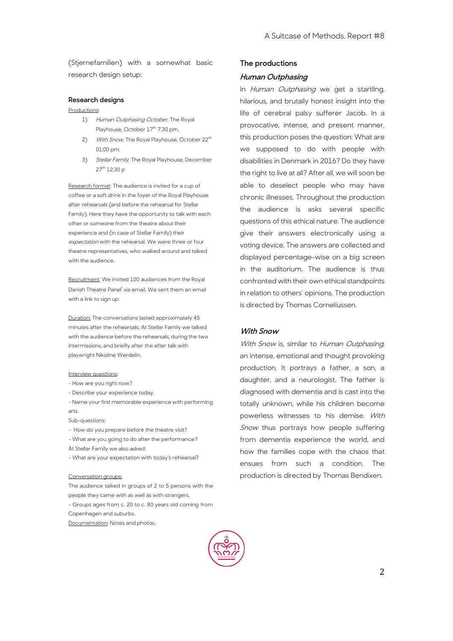(Stjernefamilien) with a somewhat basic research design setup:

### **Research designs**

Productions:

- 1) Human Outphasing October, The Royal Playhouse, October 17<sup>th</sup> 7.30 pm.
- 2) With Snow, The Royal Playhouse, October 22<sup>th</sup> 01:00 pm.
- 3) Stellar Family, The Royal Playhouse, December 27th 12:30 p

Research format: The audience is invited for a cup of coffee or a soft drink in the foyer of the Royal Playhouse after rehearsals (and before the rehearsal for Stellar Family). Here they have the opportunity to talk with each other or someone from the theatre about their experience and (in case of Stellar Family) their expectation with the rehearsal. We were three or four theatre representatives, who walked around and talked with the audience.

Recruitment: We invited 100 audiences from the Royal Danish Theatre Panel<sup>i</sup> via email. We sent them an email with a link to sign up.

Duration: The conversations lasted approximately 45 minutes after the rehearsals. At Stellar Family we talked with the audience before the rehearsals, during the two intermissions, and briefly after the after talk with playwright Nikoline Werdelin.

### Interview questions:

- How are you right now?
- Describe your experience today.
- Name your first memorable experience with performing arts.
- Sub-questions:
- How do you prepare before the theatre visit?
- What are you going to do after the performance? At Stellar Family we also asked:
- What are your expectation with today's rehearsal?

#### Conversation groups:

The audience talked in groups of 2 to 5 persons with the people they came with as well as with strangers. - Groups ages from c. 20 to c. 80 years old coming from Copenhagen and suburbs.

Documentation: Notes and photos.

## **The productions Human Outphasing**

In Human Outphasing we get a startling, hilarious, and brutally honest insight into the life of cerebral palsy sufferer Jacob. In a provocative, intense, and present manner, this production poses the question: What are we supposed to do with people with disabilities in Denmark in 2016? Do they have the right to live at all? After all, we will soon be able to deselect people who may have chronic illnesses. Throughout the production the audience is asks several specific questions of this ethical nature. The audience give their answers electronically using a voting device. The answers are collected and displayed percentage-wise on a big screen in the auditorium. The audience is thus confronted with their own ethical standpoints in relation to others' opinions. The production is directed by Thomas Corneliussen.

### **With Snow**

With Snow is, similar to Human Outphasing, an intense, emotional and thought provoking production. It portrays a father, a son, a daughter, and a neurologist. The father is diagnosed with dementia and is cast into the totally unknown, while his children become powerless witnesses to his demise. With Snow thus portrays how people suffering from dementia experience the world, and how the families cope with the chaos that ensues from such a condition. The production is directed by Thomas Bendixen.

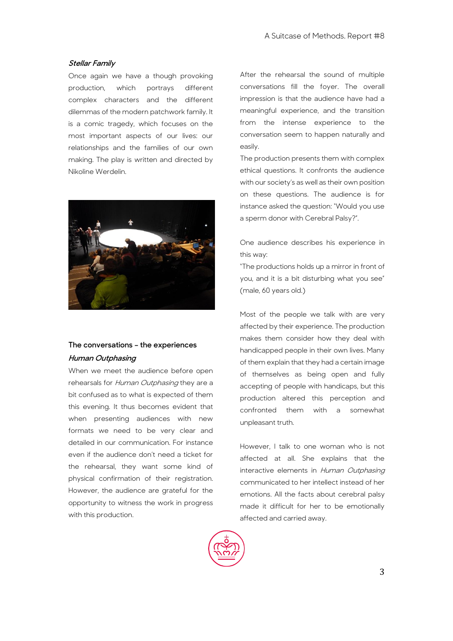### **Stellar Family**

Once again we have a though provoking production, which portrays different complex characters and the different dilemmas of the modern patchwork family. It is a comic tragedy, which focuses on the most important aspects of our lives: our relationships and the families of our own making. The play is written and directed by Nikoline Werdelin.



# **The conversations – the experiences Human Outphasing**

When we meet the audience before open rehearsals for Human Outphasing they are a bit confused as to what is expected of them this evening. It thus becomes evident that when presenting audiences with new formats we need to be very clear and detailed in our communication. For instance even if the audience don't need a ticket for the rehearsal, they want some kind of physical confirmation of their registration. However, the audience are grateful for the opportunity to witness the work in progress with this production.

After the rehearsal the sound of multiple conversations fill the foyer. The overall impression is that the audience have had a meaningful experience, and the transition from the intense experience to the conversation seem to happen naturally and easily.

The production presents them with complex ethical questions. It confronts the audience with our society's as well as their own position on these questions. The audience is for instance asked the question: "Would you use a sperm donor with Cerebral Palsy?".

One audience describes his experience in this way:

"The productions holds up a mirror in front of you, and it is a bit disturbing what you see" (male, 60 years old.)

Most of the people we talk with are very affected by their experience. The production makes them consider how they deal with handicapped people in their own lives. Many of them explain that they had a certain image of themselves as being open and fully accepting of people with handicaps, but this production altered this perception and confronted them with a somewhat unpleasant truth.

However, I talk to one woman who is not affected at all. She explains that the interactive elements in Human Outphasing communicated to her intellect instead of her emotions. All the facts about cerebral palsy made it difficult for her to be emotionally affected and carried away.

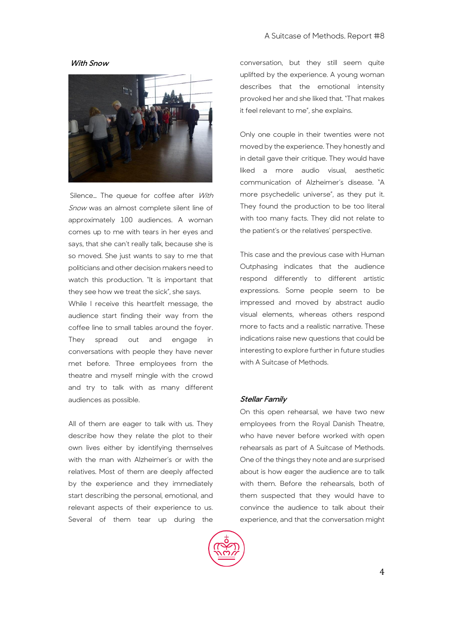### **With Snow**



Silence... The queue for coffee after With Snow was an almost complete silent line of approximately 100 audiences. A woman comes up to me with tears in her eyes and says, that she can't really talk, because she is so moved. She just wants to say to me that politicians and other decision makers need to watch this production. "It is important that they see how we treat the sick", she says.

While I receive this heartfelt message, the audience start finding their way from the coffee line to small tables around the foyer. They spread out and engage conversations with people they have never met before. Three employees from the theatre and myself mingle with the crowd and try to talk with as many different audiences as possible.

All of them are eager to talk with us. They describe how they relate the plot to their own lives either by identifying themselves with the man with Alzheimer's or with the relatives. Most of them are deeply affected by the experience and they immediately start describing the personal, emotional, and relevant aspects of their experience to us. Several of them tear up during the

conversation, but they still seem quite uplifted by the experience. A young woman describes that the emotional intensity provoked her and she liked that. "That makes it feel relevant to me", she explains.

Only one couple in their twenties were not moved by the experience. They honestly and in detail gave their critique. They would have liked a more audio visual, aesthetic communication of Alzheimer's disease. "A more psychedelic universe", as they put it. They found the production to be too literal with too many facts. They did not relate to the patient's or the relatives' perspective.

This case and the previous case with Human Outphasing indicates that the audience respond differently to different artistic expressions. Some people seem to be impressed and moved by abstract audio visual elements, whereas others respond more to facts and a realistic narrative. These indications raise new questions that could be interesting to explore further in future studies with A Suitcase of Methods.

### **Stellar Family**

On this open rehearsal, we have two new employees from the Royal Danish Theatre, who have never before worked with open rehearsals as part of A Suitcase of Methods. One of the things they note and are surprised about is how eager the audience are to talk with them. Before the rehearsals, both of them suspected that they would have to convince the audience to talk about their experience, and that the conversation might

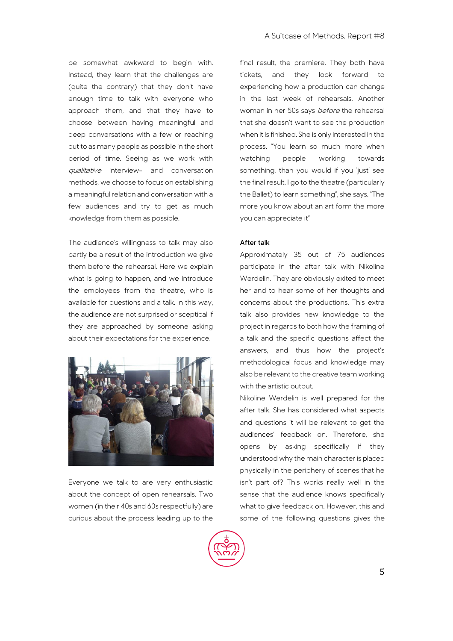be somewhat awkward to begin with. Instead, they learn that the challenges are (quite the contrary) that they don't have enough time to talk with everyone who approach them, and that they have to choose between having meaningful and deep conversations with a few or reaching out to as many people as possible in the short period of time. Seeing as we work with qualitative interview- and conversation methods, we choose to focus on establishing a meaningful relation and conversation with a few audiences and try to get as much knowledge from them as possible.

The audience's willingness to talk may also partly be a result of the introduction we give them before the rehearsal. Here we explain what is going to happen, and we introduce the employees from the theatre, who is available for questions and a talk. In this way, the audience are not surprised or sceptical if they are approached by someone asking about their expectations for the experience.



Everyone we talk to are very enthusiastic about the concept of open rehearsals. Two women (in their 40s and 60s respectfully) are curious about the process leading up to the final result, the premiere. They both have tickets, and they look forward to experiencing how a production can change in the last week of rehearsals. Another woman in her 50s says *before* the rehearsal that she doesn't want to see the production when it is finished. She is only interested in the process. "You learn so much more when watching people working towards something, than you would if you 'just' see the final result. I go to the theatre (particularly the Ballet) to learn something", she says. "The more you know about an art form the more you can appreciate it"

### **After talk**

Approximately 35 out of 75 audiences participate in the after talk with Nikoline Werdelin. They are obviously exited to meet her and to hear some of her thoughts and concerns about the productions. This extra talk also provides new knowledge to the project in regards to both how the framing of a talk and the specific questions affect the answers, and thus how the project's methodological focus and knowledge may also be relevant to the creative team working with the artistic output.

Nikoline Werdelin is well prepared for the after talk. She has considered what aspects and questions it will be relevant to get the audiences' feedback on. Therefore, she opens by asking specifically if they understood why the main character is placed physically in the periphery of scenes that he isn't part of? This works really well in the sense that the audience knows specifically what to give feedback on. However, this and some of the following questions gives the

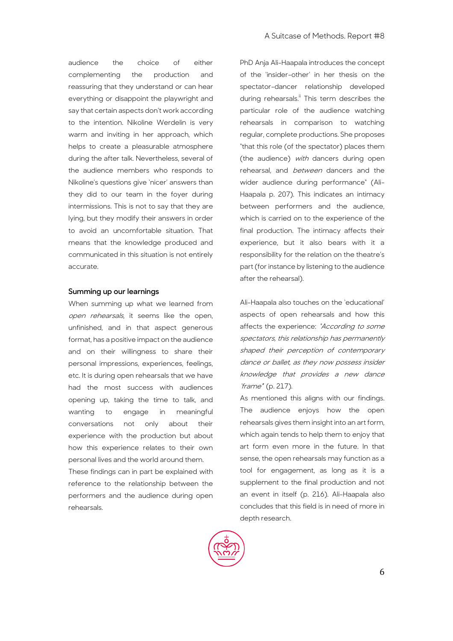audience the choice of either complementing the production and reassuring that they understand or can hear everything or disappoint the playwright and say that certain aspects don't work according to the intention. Nikoline Werdelin is very warm and inviting in her approach, which helps to create a pleasurable atmosphere during the after talk. Nevertheless, several of the audience members who responds to Nikoline's questions give 'nicer' answers than they did to our team in the foyer during intermissions. This is not to say that they are lying, but they modify their answers in order to avoid an uncomfortable situation. That means that the knowledge produced and communicated in this situation is not entirely accurate.

### **Summing up our learnings**

When summing up what we learned from open rehearsals, it seems like the open, unfinished, and in that aspect generous format, has a positive impact on the audience and on their willingness to share their personal impressions, experiences, feelings, etc. It is during open rehearsals that we have had the most success with audiences opening up, taking the time to talk, and wanting to engage in meaningful conversations not only about their experience with the production but about how this experience relates to their own personal lives and the world around them.

These findings can in part be explained with reference to the relationship between the performers and the audience during open rehearsals.

PhD Anja Ali-Haapala introduces the concept of the 'insider-other' in her thesis on the spectator-dancer relationship developed during rehearsals.<sup>"</sup> This term describes the particular role of the audience watching rehearsals in comparison to watching regular, complete productions. She proposes "that this role (of the spectator) places them (the audience) with dancers during open rehearsal, and between dancers and the wider audience during performance" (Ali-Haapala p. 207). This indicates an intimacy between performers and the audience, which is carried on to the experience of the final production. The intimacy affects their experience, but it also bears with it a responsibility for the relation on the theatre's part (for instance by listening to the audience after the rehearsal).

Ali-Haapala also touches on the 'educational' aspects of open rehearsals and how this affects the experience: "According to some spectators, this relationship has permanently shaped their perception of contemporary dance or ballet, as they now possess insider knowledge that provides a new dance 'frame'" (p. 217).

As mentioned this aligns with our findings. The audience enjoys how the open rehearsals gives them insight into an art form, which again tends to help them to enjoy that art form even more in the future. In that sense, the open rehearsals may function as a tool for engagement, as long as it is a supplement to the final production and not an event in itself (p. 216). Ali-Haapala also concludes that this field is in need of more in depth research.

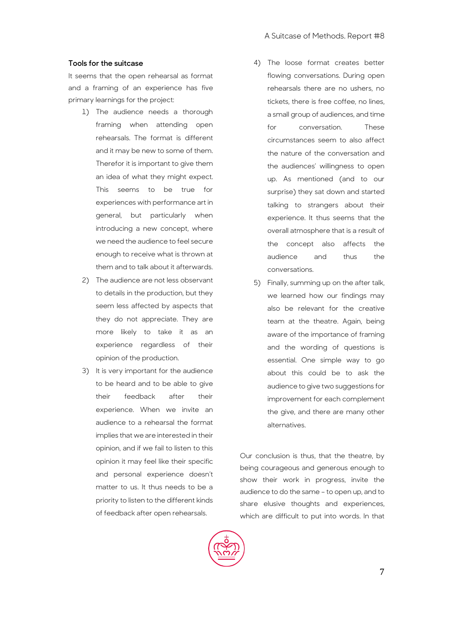### **Tools for the suitcase**

It seems that the open rehearsal as format and a framing of an experience has five primary learnings for the project:

- 1) The audience needs a thorough framing when attending open rehearsals. The format is different and it may be new to some of them. Therefor it is important to give them an idea of what they might expect. This seems to be true for experiences with performance art in general, but particularly when introducing a new concept, where we need the audience to feel secure enough to receive what is thrown at them and to talk about it afterwards.
- 2) The audience are not less observant to details in the production, but they seem less affected by aspects that they do not appreciate. They are more likely to take it as an experience regardless of their opinion of the production.
- 3) It is very important for the audience to be heard and to be able to give their feedback after their experience. When we invite an audience to a rehearsal the format implies that we are interested in their opinion, and if we fail to listen to this opinion it may feel like their specific and personal experience doesn't matter to us. It thus needs to be a priority to listen to the different kinds of feedback after open rehearsals.
- 4) The loose format creates better flowing conversations. During open rehearsals there are no ushers, no tickets, there is free coffee, no lines, a small group of audiences, and time for conversation. These circumstances seem to also affect the nature of the conversation and the audiences' willingness to open up. As mentioned (and to our surprise) they sat down and started talking to strangers about their experience. It thus seems that the overall atmosphere that is a result of the concept also affects the audience and thus the conversations.
- 5) Finally, summing up on the after talk, we learned how our findings may also be relevant for the creative team at the theatre. Again, being aware of the importance of framing and the wording of questions is essential. One simple way to go about this could be to ask the audience to give two suggestions for improvement for each complement the give, and there are many other alternatives.

Our conclusion is thus, that the theatre, by being courageous and generous enough to show their work in progress, invite the audience to do the same – to open up, and to share elusive thoughts and experiences, which are difficult to put into words. In that